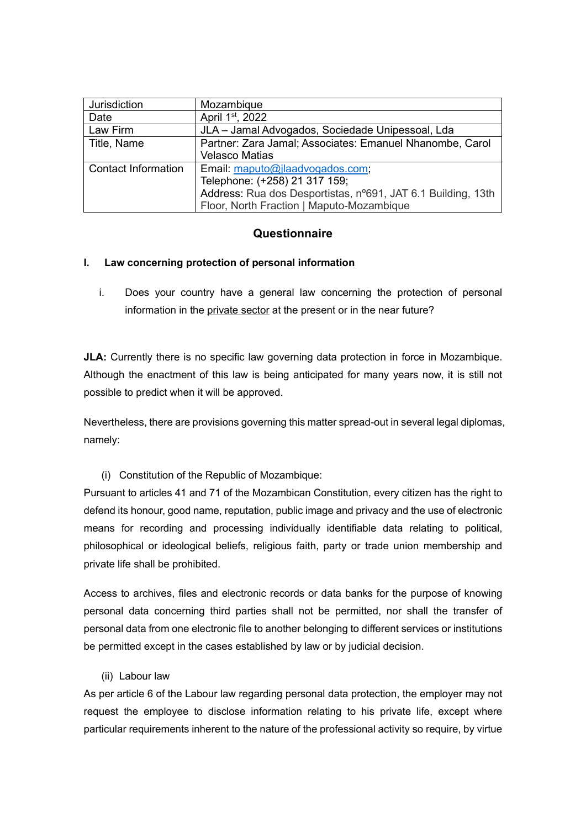| Jurisdiction               | Mozambique                                                   |  |
|----------------------------|--------------------------------------------------------------|--|
| Date                       | April 1 <sup>st</sup> , 2022                                 |  |
| Law Firm                   | JLA - Jamal Advogados, Sociedade Unipessoal, Lda             |  |
| Title, Name                | Partner: Zara Jamal; Associates: Emanuel Nhanombe, Carol     |  |
|                            | <b>Velasco Matias</b>                                        |  |
| <b>Contact Information</b> | Email: maputo@jlaadvogados.com;                              |  |
|                            | Telephone: (+258) 21 317 159;                                |  |
|                            | Address: Rua dos Desportistas, nº691, JAT 6.1 Building, 13th |  |
|                            | Floor, North Fraction   Maputo-Mozambique                    |  |

# **Questionnaire**

### **I. Law concerning protection of personal information**

i. Does your country have a general law concerning the protection of personal information in the private sector at the present or in the near future?

**JLA:** Currently there is no specific law governing data protection in force in Mozambique. Although the enactment of this law is being anticipated for many years now, it is still not possible to predict when it will be approved.

Nevertheless, there are provisions governing this matter spread-out in several legal diplomas, namely:

(i) Constitution of the Republic of Mozambique:

Pursuant to articles 41 and 71 of the Mozambican Constitution, every citizen has the right to defend its honour, good name, reputation, public image and privacy and the use of electronic means for recording and processing individually identifiable data relating to political, philosophical or ideological beliefs, religious faith, party or trade union membership and private life shall be prohibited.

Access to archives, files and electronic records or data banks for the purpose of knowing personal data concerning third parties shall not be permitted, nor shall the transfer of personal data from one electronic file to another belonging to different services or institutions be permitted except in the cases established by law or by judicial decision.

(ii) Labour law

As per article 6 of the Labour law regarding personal data protection, the employer may not request the employee to disclose information relating to his private life, except where particular requirements inherent to the nature of the professional activity so require, by virtue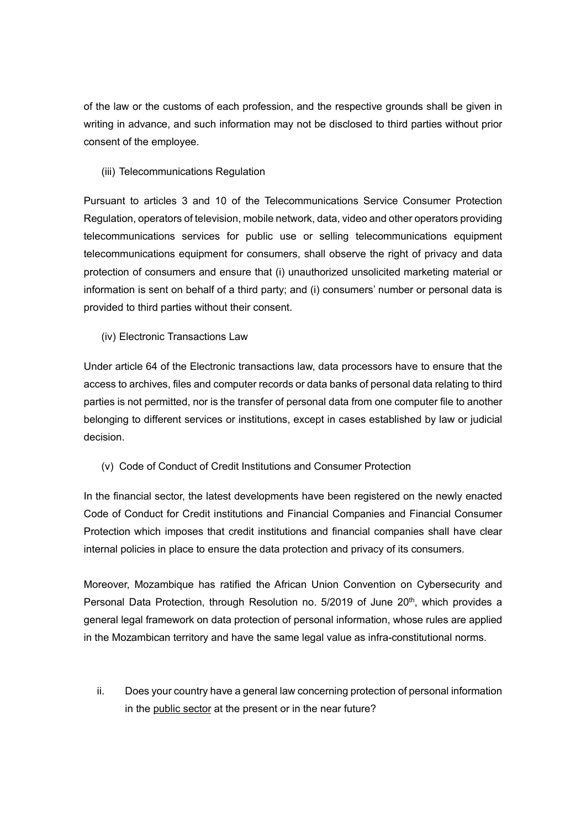of the law or the customs of each profession, and the respective grounds shall be given in writing in advance, and such information may not be disclosed to third parties without prior consent of the employee.

### (iii) Telecommunications Regulation

Pursuant to articles 3 and 10 of the Telecommunications Service Consumer Protection Regulation, operators of television, mobile network, data, video and other operators providing telecommunications services for public use or selling telecommunications equipment telecommunications equipment for consumers, shall observe the right of privacy and data protection of consumers and ensure that (i) unauthorized unsolicited marketing material or information is sent on behalf of a third party; and (i) consumers' number or personal data is provided to third parties without their consent.

(iv) Electronic Transactions Law

Under article 64 of the Electronic transactions law, data processors have to ensure that the access to archives, files and computer records or data banks of personal data relating to third parties is not permitted, nor is the transfer of personal data from one computer file to another belonging to different services or institutions, except in cases established by law or judicial decision.

## (v) Code of Conduct of Credit Institutions and Consumer Protection

In the financial sector, the latest developments have been registered on the newly enacted Code of Conduct for Credit institutions and Financial Companies and Financial Consumer Protection which imposes that credit institutions and financial companies shall have clear internal policies in place to ensure the data protection and privacy of its consumers.

Moreover, Mozambique has ratified the African Union Convention on Cybersecurity and Personal Data Protection, through Resolution no.  $5/2019$  of June  $20<sup>th</sup>$ , which provides a general legal framework on data protection of personal information, whose rules are applied in the Mozambican territory and have the same legal value as infra-constitutional norms.

ii. Does your country have a general law concerning protection of personal information in the public sector at the present or in the near future?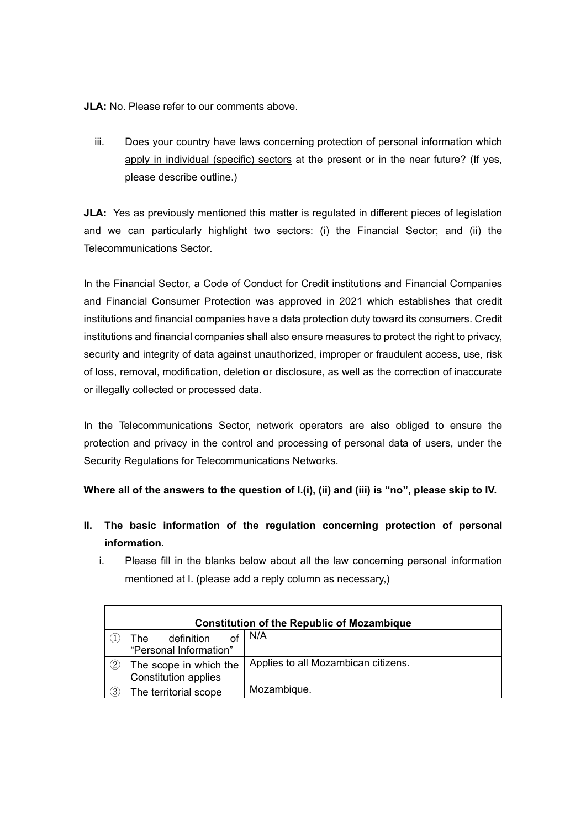**JLA:** No. Please refer to our comments above

iii. Does your country have laws concerning protection of personal information which apply in individual (specific) sectors at the present or in the near future? (If yes, please describe outline.)

**JLA:** Yes as previously mentioned this matter is regulated in different pieces of legislation and we can particularly highlight two sectors: (i) the Financial Sector; and (ii) the Telecommunications Sector.

In the Financial Sector, a Code of Conduct for Credit institutions and Financial Companies and Financial Consumer Protection was approved in 2021 which establishes that credit institutions and financial companies have a data protection duty toward its consumers. Credit institutions and financial companies shall also ensure measures to protect the right to privacy, security and integrity of data against unauthorized, improper or fraudulent access, use, risk of loss, removal, modification, deletion or disclosure, as well as the correction of inaccurate or illegally collected or processed data.

In the Telecommunications Sector, network operators are also obliged to ensure the protection and privacy in the control and processing of personal data of users, under the Security Regulations for Telecommunications Networks.

**Where all of the answers to the question of I.(i), (ii) and (iii) is "no", please skip to IV.**

- **II. The basic information of the regulation concerning protection of personal information.**
	- i. Please fill in the blanks below about all the law concerning personal information mentioned at I. (please add a reply column as necessary,)

|                   | <b>Constitution of the Republic of Mozambique</b> |                                     |  |
|-------------------|---------------------------------------------------|-------------------------------------|--|
|                   | definition<br>The                                 | N/A                                 |  |
|                   | "Personal Information"                            |                                     |  |
| $\left( 2\right)$ | The scope in which the                            | Applies to all Mozambican citizens. |  |
|                   | <b>Constitution applies</b>                       |                                     |  |
| 3)                | The territorial scope                             | Mozambique.                         |  |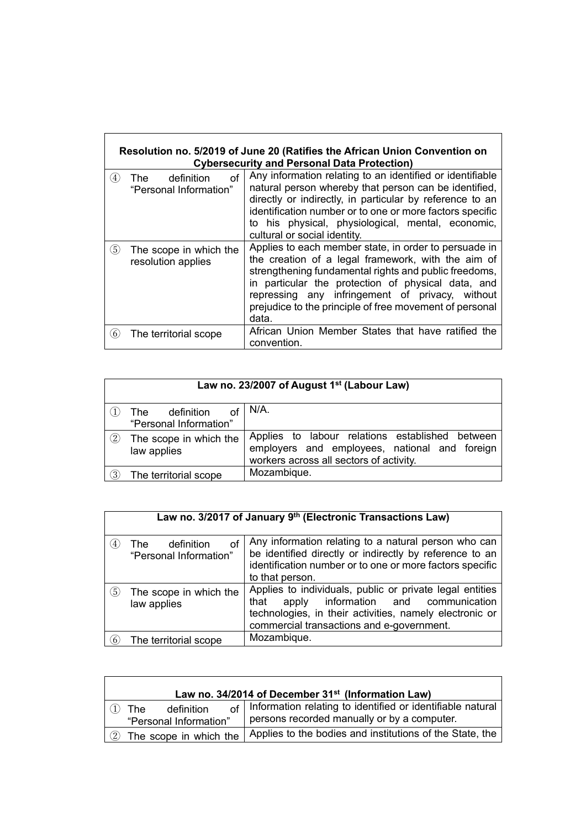| Resolution no. 5/2019 of June 20 (Ratifies the African Union Convention on<br><b>Cybersecurity and Personal Data Protection)</b> |                                                                                                                                                                                                                                                                                                                                                   |  |
|----------------------------------------------------------------------------------------------------------------------------------|---------------------------------------------------------------------------------------------------------------------------------------------------------------------------------------------------------------------------------------------------------------------------------------------------------------------------------------------------|--|
| of<br>definition<br>$\left( 4\right)$<br>The<br>"Personal Information"                                                           | Any information relating to an identified or identifiable<br>natural person whereby that person can be identified,<br>directly or indirectly, in particular by reference to an<br>identification number or to one or more factors specific<br>to his physical, physiological, mental, economic,<br>cultural or social identity.                   |  |
| 5)<br>The scope in which the<br>resolution applies                                                                               | Applies to each member state, in order to persuade in<br>the creation of a legal framework, with the aim of<br>strengthening fundamental rights and public freedoms,<br>in particular the protection of physical data, and<br>repressing any infringement of privacy, without<br>prejudice to the principle of free movement of personal<br>data. |  |
| The territorial scope<br>(6)                                                                                                     | African Union Member States that have ratified the<br>convention.                                                                                                                                                                                                                                                                                 |  |

|                   | Law no. 23/2007 of August 1 <sup>st</sup> (Labour Law) |                                                                                                                                             |  |
|-------------------|--------------------------------------------------------|---------------------------------------------------------------------------------------------------------------------------------------------|--|
|                   | definition<br>The<br>"Personal Information"            | N/A.                                                                                                                                        |  |
| $\left( 2\right)$ | The scope in which the<br>law applies                  | Applies to labour relations established between<br>employers and employees, national and foreign<br>workers across all sectors of activity. |  |
| $\left( 3\right)$ | The territorial scope                                  | Mozambique.                                                                                                                                 |  |

|                   |                                                    | Law no. 3/2017 of January 9th (Electronic Transactions Law)                                                                                                                                                     |
|-------------------|----------------------------------------------------|-----------------------------------------------------------------------------------------------------------------------------------------------------------------------------------------------------------------|
| $\left( 4\right)$ | of<br>definition<br>The.<br>"Personal Information" | Any information relating to a natural person who can<br>be identified directly or indirectly by reference to an<br>identification number or to one or more factors specific<br>to that person.                  |
| (5)               | The scope in which the<br>law applies              | Applies to individuals, public or private legal entities<br>apply information and communication<br>that<br>technologies, in their activities, namely electronic or<br>commercial transactions and e-government. |
| (6)               | The territorial scope                              | Mozambique.                                                                                                                                                                                                     |

| Law no. 34/2014 of December 31 <sup>st</sup> (Information Law) |                                                                                                              |  |
|----------------------------------------------------------------|--------------------------------------------------------------------------------------------------------------|--|
| definition<br>The<br>"Personal Information"                    | of Information relating to identified or identifiable natural<br>persons recorded manually or by a computer. |  |
|                                                                | 2 The scope in which the   Applies to the bodies and institutions of the State, the                          |  |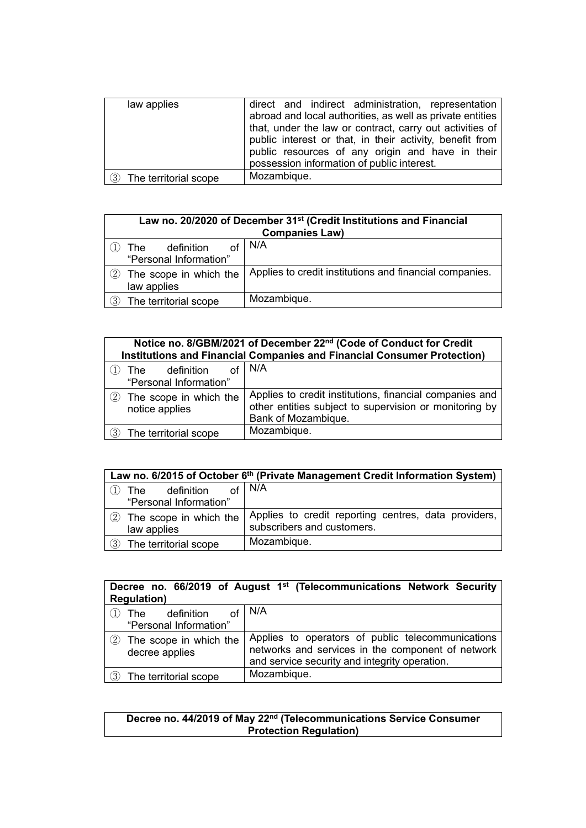| law applies                  | direct and indirect administration, representation        |
|------------------------------|-----------------------------------------------------------|
|                              | abroad and local authorities, as well as private entities |
|                              | that, under the law or contract, carry out activities of  |
|                              | public interest or that, in their activity, benefit from  |
|                              | public resources of any origin and have in their          |
|                              | possession information of public interest.                |
| The territorial scope<br>(3) | Mozambique.                                               |

| Law no. 20/2020 of December 31 <sup>st</sup> (Credit Institutions and Financial<br><b>Companies Law)</b> |                                                         |  |
|----------------------------------------------------------------------------------------------------------|---------------------------------------------------------|--|
| definition<br>The .<br>"Personal Information"                                                            | N/A                                                     |  |
| The scope in which the<br>$\left( 2\right)$<br>law applies                                               | Applies to credit institutions and financial companies. |  |
| The territorial scope<br>$\left(3\right)$                                                                | Mozambique.                                             |  |

| Notice no. 8/GBM/2021 of December 22 <sup>nd</sup> (Code of Conduct for Credit<br>Institutions and Financial Companies and Financial Consumer Protection) |                                                                                                                                          |  |
|-----------------------------------------------------------------------------------------------------------------------------------------------------------|------------------------------------------------------------------------------------------------------------------------------------------|--|
| The definition<br>"Personal Information"                                                                                                                  | N/A                                                                                                                                      |  |
| The scope in which the<br>$\left( 2\right)$<br>notice applies                                                                                             | Applies to credit institutions, financial companies and<br>other entities subject to supervision or monitoring by<br>Bank of Mozambique. |  |
| The territorial scope<br>$\left(3\right)$                                                                                                                 | Mozambique.                                                                                                                              |  |

|                                           | Law no. 6/2015 of October 6 <sup>th</sup> (Private Management Credit Information System) |
|-------------------------------------------|------------------------------------------------------------------------------------------|
| definition<br>$\blacksquare$ The          | <sub>of</sub>   N/A                                                                      |
| "Personal Information"                    |                                                                                          |
| 2 The scope in which the<br>law applies   | Applies to credit reporting centres, data providers,<br>subscribers and customers.       |
| $\left(3\right)$<br>The territorial scope | Mozambique.                                                                              |

| Decree no. 66/2019 of August 1 <sup>st</sup> (Telecommunications Network Security<br><b>Regulation</b> ) |                                                                                                                                                         |  |
|----------------------------------------------------------------------------------------------------------|---------------------------------------------------------------------------------------------------------------------------------------------------------|--|
| definition<br>The<br>"Personal Information"                                                              | N/A                                                                                                                                                     |  |
| 2 The scope in which the<br>decree applies                                                               | Applies to operators of public telecommunications<br>networks and services in the component of network<br>and service security and integrity operation. |  |
| The territorial scope<br>(3)                                                                             | Mozambique.                                                                                                                                             |  |

#### **Decree no. 44/2019 of May 22nd (Telecommunications Service Consumer Protection Regulation)**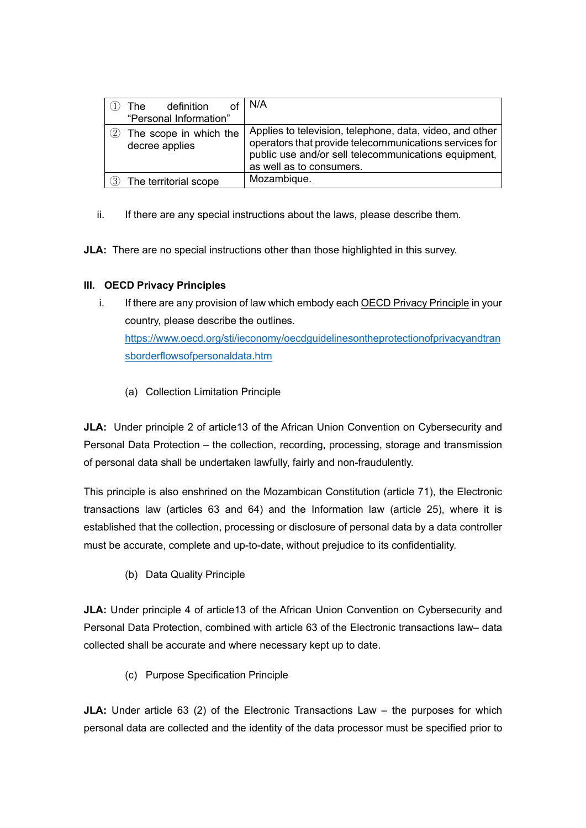|                   | definition<br>The .<br>"Personal Information" | N/A                                                                                                                                                                                                    |
|-------------------|-----------------------------------------------|--------------------------------------------------------------------------------------------------------------------------------------------------------------------------------------------------------|
| $\left( 2\right)$ | The scope in which the<br>decree applies      | Applies to television, telephone, data, video, and other<br>operators that provide telecommunications services for<br>public use and/or sell telecommunications equipment,<br>as well as to consumers. |
|                   | The territorial scope                         | Mozambique.                                                                                                                                                                                            |

- ii. If there are any special instructions about the laws, please describe them.
- **JLA:** There are no special instructions other than those highlighted in this survey.

# **III. OECD Privacy Principles**

- i. If there are any provision of law which embody each OECD Privacy Principle in your country, please describe the outlines. [https://www.oecd.org/sti/ieconomy/oecdguidelinesontheprotectionofprivacyandtran](https://www.oecd.org/sti/ieconomy/oecdguidelinesontheprotectionofprivacyandtransborderflowsofpersonaldata.htm) [sborderflowsofpersonaldata.htm](https://www.oecd.org/sti/ieconomy/oecdguidelinesontheprotectionofprivacyandtransborderflowsofpersonaldata.htm)
	- (a) Collection Limitation Principle

**JLA:** Under principle 2 of article13 of the African Union Convention on Cybersecurity and Personal Data Protection – the collection, recording, processing, storage and transmission of personal data shall be undertaken lawfully, fairly and non-fraudulently.

This principle is also enshrined on the Mozambican Constitution (article 71), the Electronic transactions law (articles 63 and 64) and the Information law (article 25), where it is established that the collection, processing or disclosure of personal data by a data controller must be accurate, complete and up-to-date, without prejudice to its confidentiality.

(b) Data Quality Principle

**JLA:** Under principle 4 of article13 of the African Union Convention on Cybersecurity and Personal Data Protection, combined with article 63 of the Electronic transactions law– data collected shall be accurate and where necessary kept up to date.

(c) Purpose Specification Principle

**JLA:** Under article 63 (2) of the Electronic Transactions Law – the purposes for which personal data are collected and the identity of the data processor must be specified prior to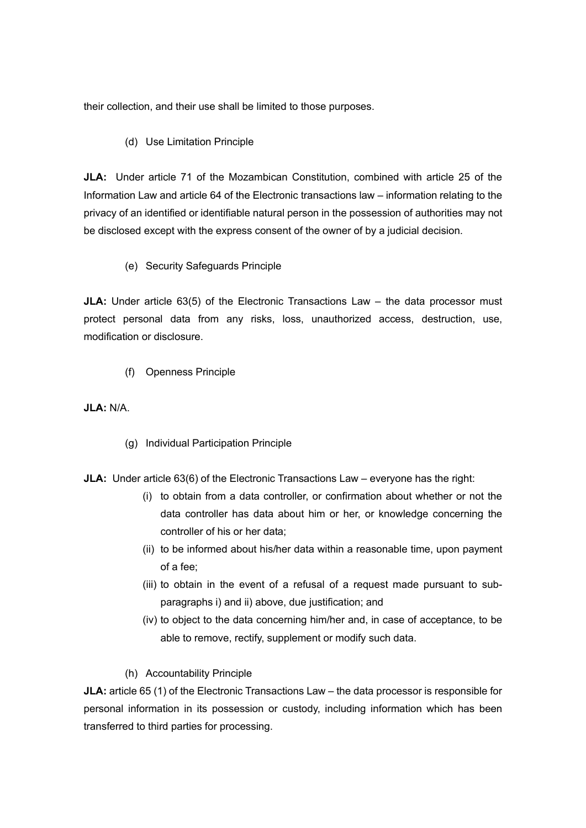their collection, and their use shall be limited to those purposes.

## (d) Use Limitation Principle

**JLA:** Under article 71 of the Mozambican Constitution, combined with article 25 of the Information Law and article 64 of the Electronic transactions law – information relating to the privacy of an identified or identifiable natural person in the possession of authorities may not be disclosed except with the express consent of the owner of by a judicial decision.

(e) Security Safeguards Principle

**JLA:** Under article 63(5) of the Electronic Transactions Law – the data processor must protect personal data from any risks, loss, unauthorized access, destruction, use, modification or disclosure.

(f) Openness Principle

**JLA:** N/A.

(g) Individual Participation Principle

**JLA:** Under article 63(6) of the Electronic Transactions Law – everyone has the right:

- (i) to obtain from a data controller, or confirmation about whether or not the data controller has data about him or her, or knowledge concerning the controller of his or her data;
- (ii) to be informed about his/her data within a reasonable time, upon payment of a fee;
- (iii) to obtain in the event of a refusal of a request made pursuant to subparagraphs i) and ii) above, due justification; and
- (iv) to object to the data concerning him/her and, in case of acceptance, to be able to remove, rectify, supplement or modify such data.
- (h) Accountability Principle

**JLA:** article 65 (1) of the Electronic Transactions Law – the data processor is responsible for personal information in its possession or custody, including information which has been transferred to third parties for processing.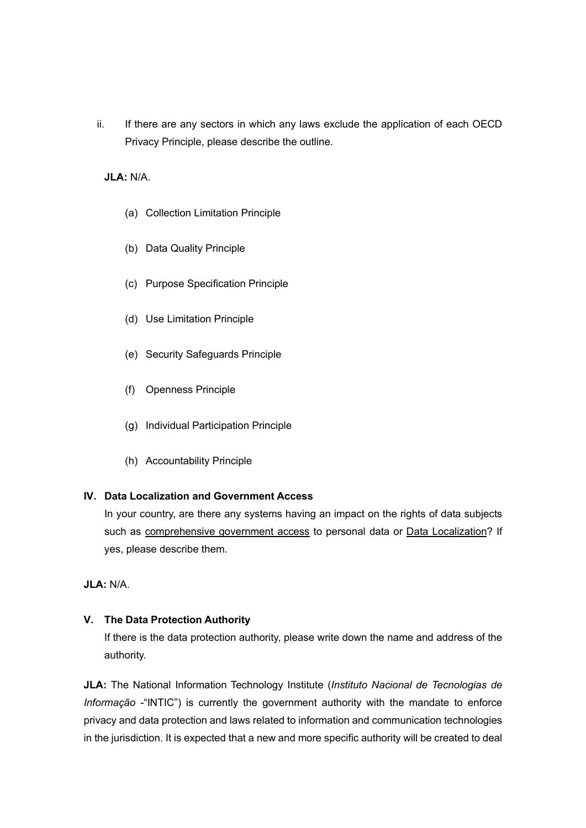ii. If there are any sectors in which any laws exclude the application of each OECD Privacy Principle, please describe the outline.

**JLA:** N/A.

- (a) Collection Limitation Principle
- (b) Data Quality Principle
- (c) Purpose Specification Principle
- (d) Use Limitation Principle
- (e) Security Safeguards Principle
- (f) Openness Principle
- (g) Individual Participation Principle
- (h) Accountability Principle

## **IV. Data Localization and Government Access**

In your country, are there any systems having an impact on the rights of data subjects such as comprehensive government access to personal data or Data Localization? If yes, please describe them.

**JLA:** N/A.

#### **V. The Data Protection Authority**

If there is the data protection authority, please write down the name and address of the authority.

**JLA:** The National Information Technology Institute (*Instituto Nacional de Tecnologias de Informação* -"INTIC") is currently the government authority with the mandate to enforce privacy and data protection and laws related to information and communication technologies in the jurisdiction. It is expected that a new and more specific authority will be created to deal